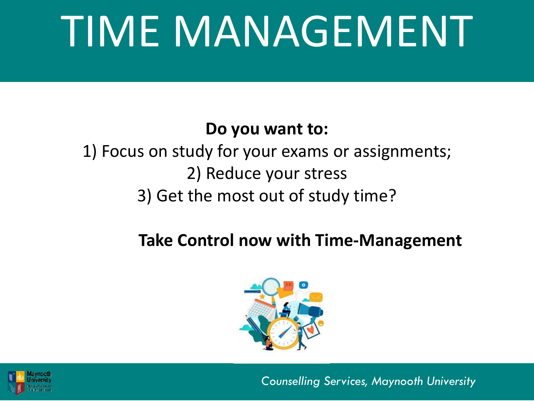## TIME MANAGEMENT

#### **Do you want to:**

#### 1) Focus on study for your exams or assignments; 2) Reduce your stress 3) Get the most out of study time?

#### **Take Control now with Time-Management**



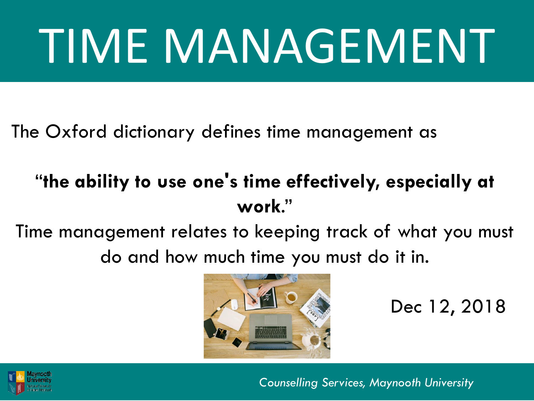# TIME MANAGEMENT

The Oxford dictionary defines time management as

#### "**the ability to use one's time effectively, especially at work**."

Time management relates to keeping track of what you must do and how much time you must do it in.



Dec 12, 2018

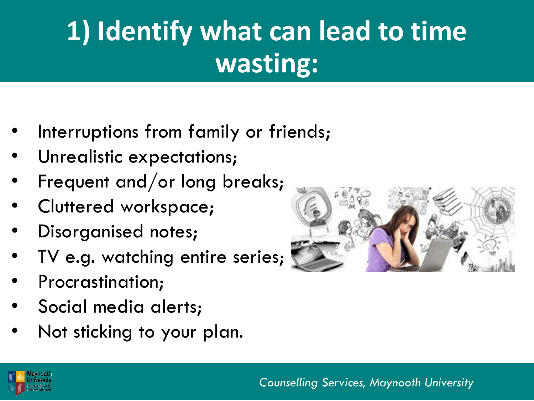## **1) Identify what can lead to time wasting:**

- Interruptions from family or friends;
- Unrealistic expectations;
- Frequent and/or long breaks;
- Cluttered workspace;
- Disorganised notes;
- TV e.g. watching entire series;
- Procrastination;
- Social media alerts;
- Not sticking to your plan.



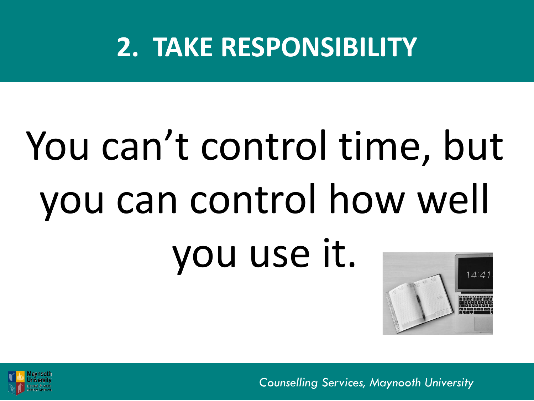### **2. TAKE RESPONSIBILITY**

## You can't control time, but you can control how well you use it.



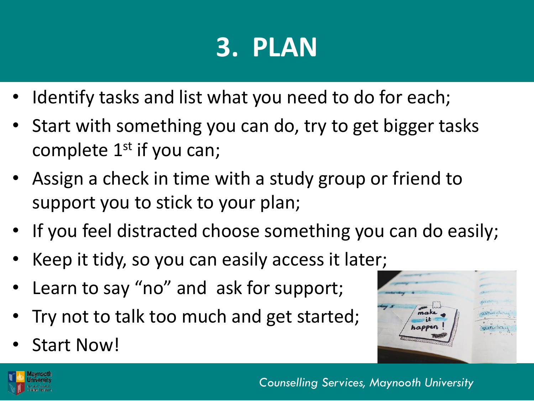## **3. PLAN**

- I dentify tasks and list what you need to do for each;
- Start with something you can do, try to get bigger tasks complete  $1<sup>st</sup>$  if you can;
- Assign a check in time with a study group or friend to support you to stick to your plan;
- If you feel distracted choose something you can do easily;
- Keep it tidy, so you can easily access it later;
- Learn to say "no" and ask for support;
- Try not to talk too much and get started;
- Start Now!



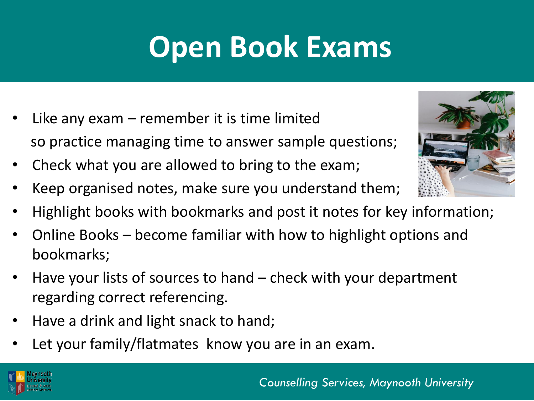## **Open Book Exams**

- Like any exam  $-$  remember it is time limited so practice managing time to answer sample questions;
- Check what you are allowed to bring to the exam;
- Keep organised notes, make sure you understand them;
- Highlight books with bookmarks and post it notes for key information;
- Online Books become familiar with how to highlight options and bookmarks;
- Have your lists of sources to hand check with your department regarding correct referencing.
- Have a drink and light snack to hand;
- Let your family/flatmates know you are in an exam.